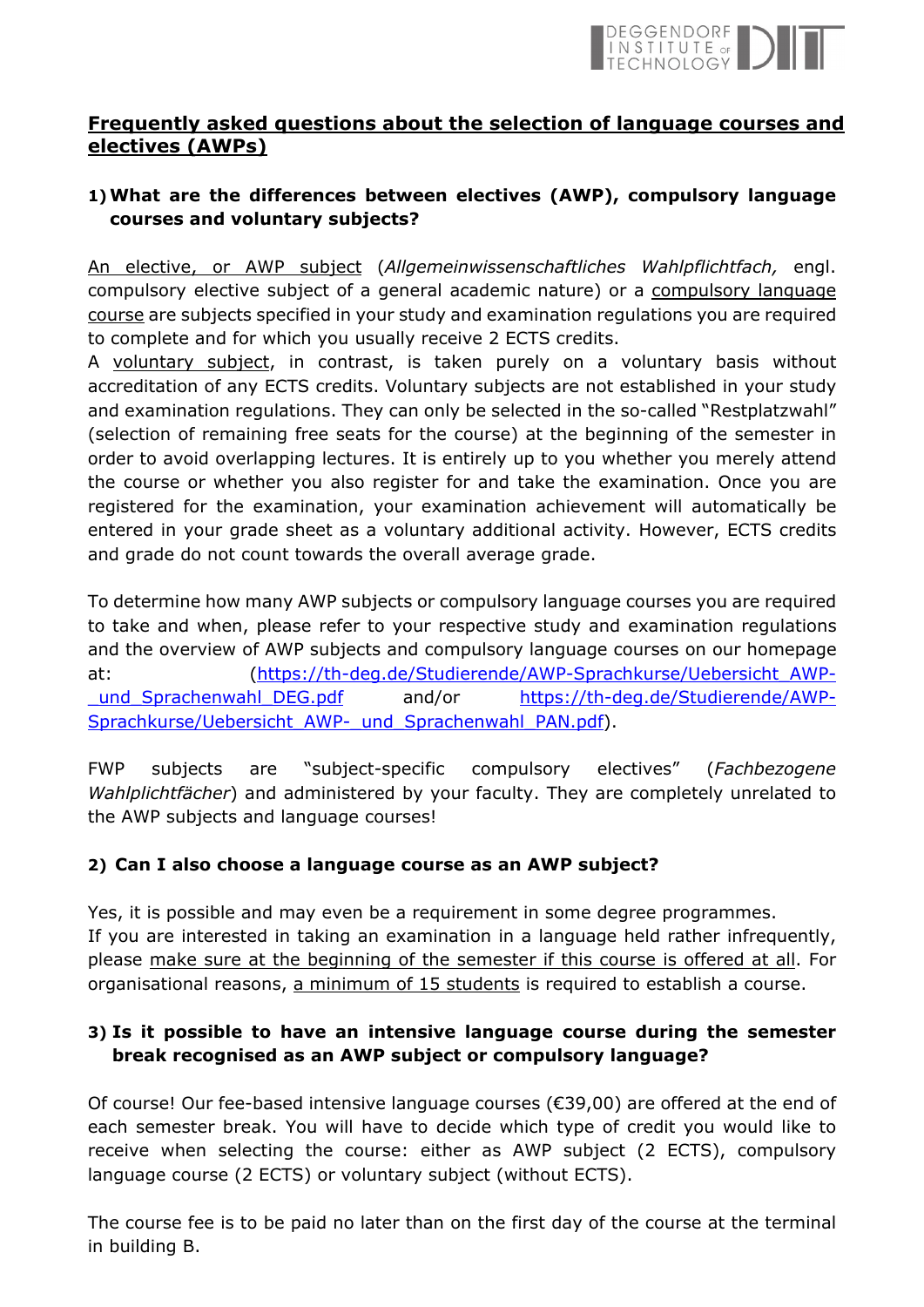

## **Frequently asked questions about the selection of language courses and electives (AWPs)**

# **1)What are the differences between electives (AWP), compulsory language courses and voluntary subjects?**

An elective, or AWP subject (*Allgemeinwissenschaftliches Wahlpflichtfach,* engl. compulsory elective subject of a general academic nature) or a compulsory language course are subjects specified in your study and examination regulations you are required to complete and for which you usually receive 2 ECTS credits.

A voluntary subject, in contrast, is taken purely on a voluntary basis without accreditation of any ECTS credits. Voluntary subjects are not established in your study and examination regulations. They can only be selected in the so-called "Restplatzwahl" (selection of remaining free seats for the course) at the beginning of the semester in order to avoid overlapping lectures. It is entirely up to you whether you merely attend the course or whether you also register for and take the examination. Once you are registered for the examination, your examination achievement will automatically be entered in your grade sheet as a voluntary additional activity. However, ECTS credits and grade do not count towards the overall average grade.

To determine how many AWP subjects or compulsory language courses you are required to take and when, please refer to your respective study and examination regulations and the overview of AWP subjects and compulsory language courses on our homepage at: (https://th-deg.de/Studierende/AWP-Sprachkurse/Uebersicht\_AWP- \_und\_Sprachenwahl\_DEG.pdf and/or https://th-deg.de/Studierende/AWP-Sprachkurse/Uebersicht\_AWP-\_und\_Sprachenwahl\_PAN.pdf).

FWP subjects are "subject-specific compulsory electives" (*Fachbezogene Wahlplichtfächer*) and administered by your faculty. They are completely unrelated to the AWP subjects and language courses!

## **2) Can I also choose a language course as an AWP subject?**

Yes, it is possible and may even be a requirement in some degree programmes. If you are interested in taking an examination in a language held rather infrequently, please make sure at the beginning of the semester if this course is offered at all. For organisational reasons, a minimum of 15 students is required to establish a course.

## **3) Is it possible to have an intensive language course during the semester break recognised as an AWP subject or compulsory language?**

Of course! Our fee-based intensive language courses (€39,00) are offered at the end of each semester break. You will have to decide which type of credit you would like to receive when selecting the course: either as AWP subject (2 ECTS), compulsory language course (2 ECTS) or voluntary subject (without ECTS).

The course fee is to be paid no later than on the first day of the course at the terminal in building B.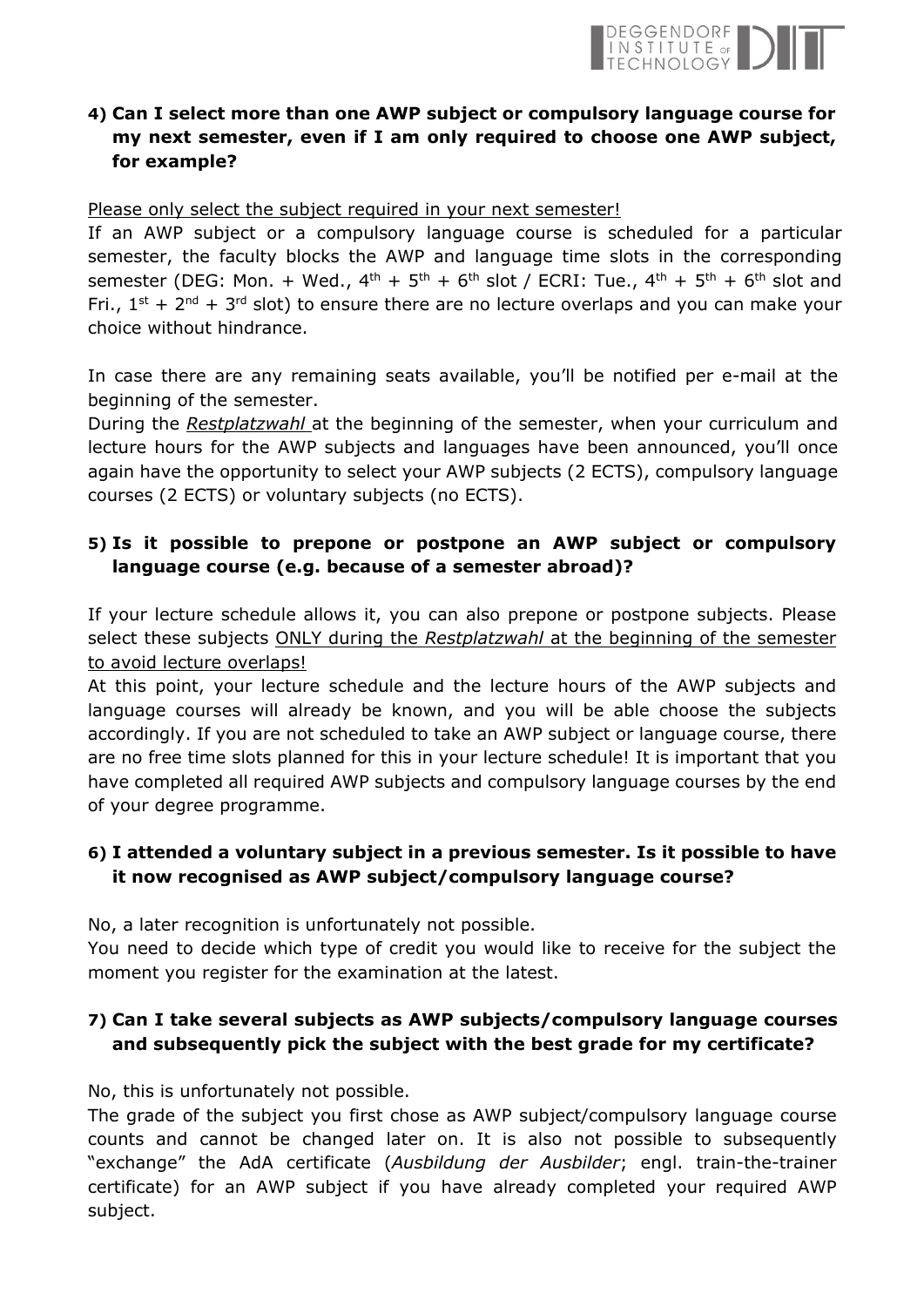

## **4) Can I select more than one AWP subject or compulsory language course for my next semester, even if I am only required to choose one AWP subject, for example?**

#### Please only select the subject required in your next semester!

If an AWP subject or a compulsory language course is scheduled for a particular semester, the faculty blocks the AWP and language time slots in the corresponding semester (DEG: Mon. + Wed.,  $4^{th}$  +  $5^{th}$  +  $6^{th}$  slot / ECRI: Tue.,  $4^{th}$  +  $5^{th}$  +  $6^{th}$  slot and Fri.,  $1^{st}$  +  $2^{nd}$  +  $3^{rd}$  slot) to ensure there are no lecture overlaps and you can make your choice without hindrance.

In case there are any remaining seats available, you'll be notified per e-mail at the beginning of the semester.

During the *Restplatzwahl* at the beginning of the semester, when your curriculum and lecture hours for the AWP subjects and languages have been announced, you'll once again have the opportunity to select your AWP subjects (2 ECTS), compulsory language courses (2 ECTS) or voluntary subjects (no ECTS).

#### **5) Is it possible to prepone or postpone an AWP subject or compulsory language course (e.g. because of a semester abroad)?**

If your lecture schedule allows it, you can also prepone or postpone subjects. Please select these subjects ONLY during the *Restplatzwahl* at the beginning of the semester to avoid lecture overlaps!

At this point, your lecture schedule and the lecture hours of the AWP subjects and language courses will already be known, and you will be able choose the subjects accordingly. If you are not scheduled to take an AWP subject or language course, there are no free time slots planned for this in your lecture schedule! It is important that you have completed all required AWP subjects and compulsory language courses by the end of your degree programme.

## **6) I attended a voluntary subject in a previous semester. Is it possible to have it now recognised as AWP subject/compulsory language course?**

No, a later recognition is unfortunately not possible.

You need to decide which type of credit you would like to receive for the subject the moment you register for the examination at the latest.

## **7) Can I take several subjects as AWP subjects/compulsory language courses and subsequently pick the subject with the best grade for my certificate?**

No, this is unfortunately not possible.

The grade of the subject you first chose as AWP subject/compulsory language course counts and cannot be changed later on. It is also not possible to subsequently "exchange" the AdA certificate (*Ausbildung der Ausbilder*; engl. train-the-trainer certificate) for an AWP subject if you have already completed your required AWP subject.